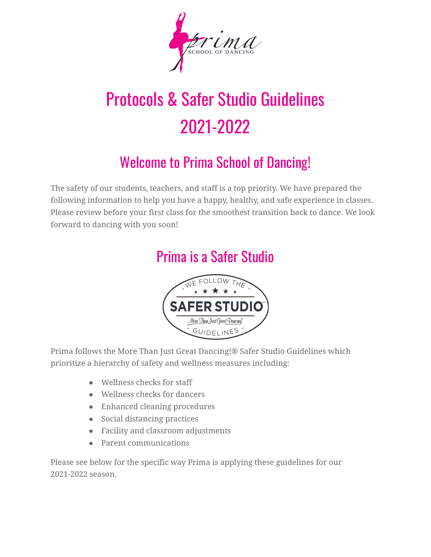

# Protocols & Safer Studio Guidelines 2021-2022

# Welcome to Prima School of Dancing!

The safety of our students, teachers, and staff is a top priority. We have prepared the following information to help you have a happy, healthy, and safe experience in classes. Please review before your first class for the smoothest transition back to dance. We look forward to dancing with you soon!

## Prima is a Safer Studio



Prima follows the More Than Just Great Dancing!® Safer Studio Guidelines which prioritize a hierarchy of safety and wellness measures including:

- Wellness checks for staff
- Wellness checks for dancers
- Enhanced cleaning procedures
- Social distancing practices
- Facility and classroom adjustments
- Parent communications

Please see below for the specific way Prima is applying these guidelines for our 2021-2022 season.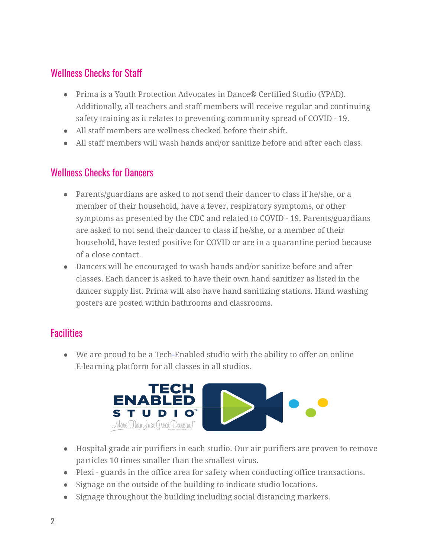#### Wellness Checks for Staff

- Prima is a Youth Protection Advocates in Dance® Certified Studio (YPAD). Additionally, all teachers and staff members will receive regular and continuing safety training as it relates to preventing community spread of COVID - 19.
- All staff members are wellness checked before their shift.
- All staff members will wash hands and/or sanitize before and after each class.

#### Wellness Checks for Dancers

- Parents/guardians are asked to not send their dancer to class if he/she, or a member of their household, have a fever, respiratory symptoms, or other symptoms as presented by the CDC and related to COVID - 19. Parents/guardians are asked to not send their dancer to class if he/she, or a member of their household, have tested positive for COVID or are in a quarantine period because of a close contact.
- Dancers will be encouraged to wash hands and/or sanitize before and after classes. Each dancer is asked to have their own hand sanitizer as listed in the dancer supply list. Prima will also have hand sanitizing stations. Hand washing posters are posted within bathrooms and classrooms.

#### **Facilities**

● We are proud to be a Tech-Enabled studio with the ability to offer an online E-learning platform for all classes in all studios.



- Hospital grade air purifiers in each studio. Our air purifiers are proven to remove particles 10 times smaller than the smallest virus.
- Plexi guards in the office area for safety when conducting office transactions.
- Signage on the outside of the building to indicate studio locations.
- Signage throughout the building including social distancing markers.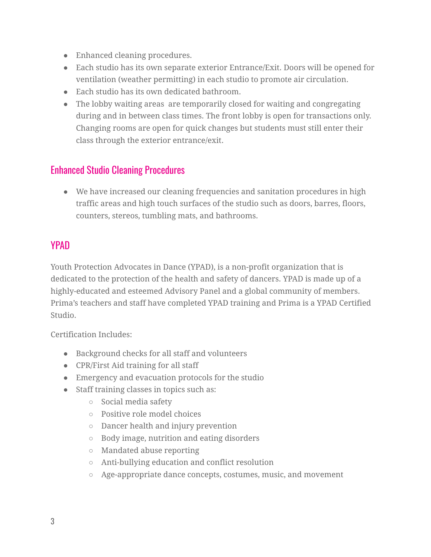- Enhanced cleaning procedures.
- Each studio has its own separate exterior Entrance/Exit. Doors will be opened for ventilation (weather permitting) in each studio to promote air circulation.
- Each studio has its own dedicated bathroom.
- The lobby waiting areas are temporarily closed for waiting and congregating during and in between class times. The front lobby is open for transactions only. Changing rooms are open for quick changes but students must still enter their class through the exterior entrance/exit.

#### Enhanced Studio Cleaning Procedures

● We have increased our cleaning frequencies and sanitation procedures in high traffic areas and high touch surfaces of the studio such as doors, barres, floors, counters, stereos, tumbling mats, and bathrooms.

#### **YPAD**

Youth Protection Advocates in Dance (YPAD), is a non-profit organization that is dedicated to the protection of the health and safety of dancers. YPAD is made up of a highly-educated and esteemed Advisory Panel and a global community of members. Prima's teachers and staff have completed YPAD training and Prima is a YPAD Certified Studio.

Certification Includes:

- Background checks for all staff and volunteers
- CPR/First Aid training for all staff
- Emergency and evacuation protocols for the studio
- Staff training classes in topics such as:
	- Social media safety
	- Positive role model choices
	- Dancer health and injury prevention
	- Body image, nutrition and eating disorders
	- Mandated abuse reporting
	- Anti-bullying education and conflict resolution
	- Age-appropriate dance concepts, costumes, music, and movement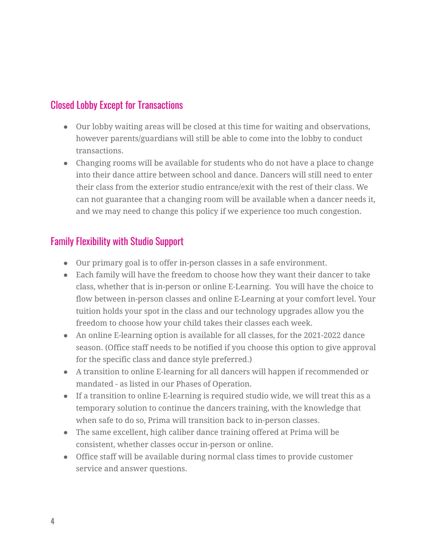#### Closed Lobby Except for Transactions

- Our lobby waiting areas will be closed at this time for waiting and observations, however parents/guardians will still be able to come into the lobby to conduct transactions.
- Changing rooms will be available for students who do not have a place to change into their dance attire between school and dance. Dancers will still need to enter their class from the exterior studio entrance/exit with the rest of their class. We can not guarantee that a changing room will be available when a dancer needs it, and we may need to change this policy if we experience too much congestion.

#### Family Flexibility with Studio Support

- Our primary goal is to offer in-person classes in a safe environment.
- Each family will have the freedom to choose how they want their dancer to take class, whether that is in-person or online E-Learning. You will have the choice to flow between in-person classes and online E-Learning at your comfort level. Your tuition holds your spot in the class and our technology upgrades allow you the freedom to choose how your child takes their classes each week.
- An online E-learning option is available for all classes, for the 2021-2022 dance season. (Office staff needs to be notified if you choose this option to give approval for the specific class and dance style preferred.)
- A transition to online E-learning for all dancers will happen if recommended or mandated - as listed in our Phases of Operation.
- If a transition to online E-learning is required studio wide, we will treat this as a temporary solution to continue the dancers training, with the knowledge that when safe to do so, Prima will transition back to in-person classes.
- The same excellent, high caliber dance training offered at Prima will be consistent, whether classes occur in-person or online.
- Office staff will be available during normal class times to provide customer service and answer questions.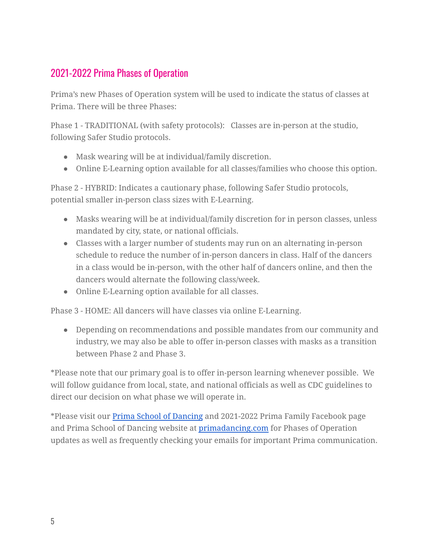#### 2021-2022 Prima Phases of Operation

Prima's new Phases of Operation system will be used to indicate the status of classes at Prima. There will be three Phases:

Phase 1 - TRADITIONAL (with safety protocols): Classes are in-person at the studio, following Safer Studio protocols.

- Mask wearing will be at individual/family discretion.
- Online E-Learning option available for all classes/families who choose this option.

Phase 2 - HYBRID: Indicates a cautionary phase, following Safer Studio protocols, potential smaller in-person class sizes with E-Learning.

- Masks wearing will be at individual/family discretion for in person classes, unless mandated by city, state, or national officials.
- Classes with a larger number of students may run on an alternating in-person schedule to reduce the number of in-person dancers in class. Half of the dancers in a class would be in-person, with the other half of dancers online, and then the dancers would alternate the following class/week.
- Online E-Learning option available for all classes.

Phase 3 - HOME: All dancers will have classes via online E-Learning.

● Depending on recommendations and possible mandates from our community and industry, we may also be able to offer in-person classes with masks as a transition between Phase 2 and Phase 3.

\*Please note that our primary goal is to offer in-person learning whenever possible. We will follow guidance from local, state, and national officials as well as CDC guidelines to direct our decision on what phase we will operate in.

\*Please visit our Prima School of [Dancing](https://www.facebook.com/primadancing/) and 2021-2022 Prima Family Facebook page and Prima School of Dancing website at [primadancing.com](https://primadancing.com/) for Phases of Operation updates as well as frequently checking your emails for important Prima communication.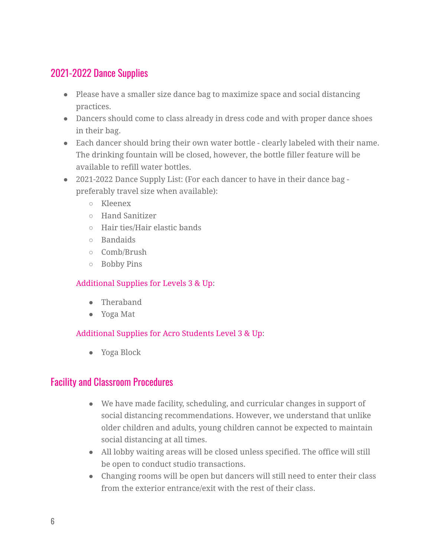#### 2021-2022 Dance Supplies

- Please have a smaller size dance bag to maximize space and social distancing practices.
- Dancers should come to class already in dress code and with proper dance shoes in their bag.
- Each dancer should bring their own water bottle clearly labeled with their name. The drinking fountain will be closed, however, the bottle filler feature will be available to refill water bottles.
- 2021-2022 Dance Supply List: (For each dancer to have in their dance bag preferably travel size when available):
	- Kleenex
	- Hand Sanitizer
	- Hair ties/Hair elastic bands
	- Bandaids
	- Comb/Brush
	- Bobby Pins

#### Additional Supplies for Levels 3 & Up:

- Theraband
- Yoga Mat

#### Additional Supplies for Acro Students Level 3 & Up:

● Yoga Block

#### Facility and Classroom Procedures

- We have made facility, scheduling, and curricular changes in support of social distancing recommendations. However, we understand that unlike older children and adults, young children cannot be expected to maintain social distancing at all times.
- All lobby waiting areas will be closed unless specified. The office will still be open to conduct studio transactions.
- Changing rooms will be open but dancers will still need to enter their class from the exterior entrance/exit with the rest of their class.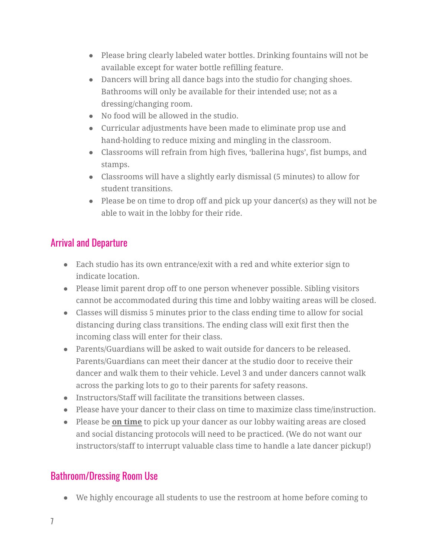- Please bring clearly labeled water bottles. Drinking fountains will not be available except for water bottle refilling feature.
- Dancers will bring all dance bags into the studio for changing shoes. Bathrooms will only be available for their intended use; not as a dressing/changing room.
- No food will be allowed in the studio.
- Curricular adjustments have been made to eliminate prop use and hand-holding to reduce mixing and mingling in the classroom.
- Classrooms will refrain from high fives, 'ballerina hugs', fist bumps, and stamps.
- Classrooms will have a slightly early dismissal (5 minutes) to allow for student transitions.
- Please be on time to drop off and pick up your dancer(s) as they will not be able to wait in the lobby for their ride.

### Arrival and Departure

- Each studio has its own entrance/exit with a red and white exterior sign to indicate location.
- Please limit parent drop off to one person whenever possible. Sibling visitors cannot be accommodated during this time and lobby waiting areas will be closed.
- Classes will dismiss 5 minutes prior to the class ending time to allow for social distancing during class transitions. The ending class will exit first then the incoming class will enter for their class.
- Parents/Guardians will be asked to wait outside for dancers to be released. Parents/Guardians can meet their dancer at the studio door to receive their dancer and walk them to their vehicle. Level 3 and under dancers cannot walk across the parking lots to go to their parents for safety reasons.
- Instructors/Staff will facilitate the transitions between classes.
- Please have your dancer to their class on time to maximize class time/instruction.
- Please be **on time** to pick up your dancer as our lobby waiting areas are closed and social distancing protocols will need to be practiced. (We do not want our instructors/staff to interrupt valuable class time to handle a late dancer pickup!)

### Bathroom/Dressing Room Use

● We highly encourage all students to use the restroom at home before coming to